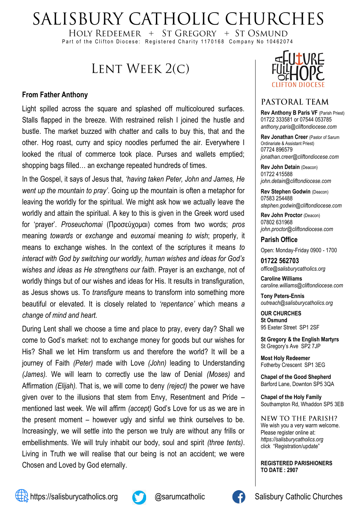# SALISBURY CATHOLIC CHURCHES

HOLY REDEEMER  $+$  ST GREGORY  $+$  ST OSMUND Part of the Clifton Diocese: Registered Charity 1170168 Company No 10462074

## LENT WEEK 2(C)

#### **From Father Anthony**

Light spilled across the square and splashed off multicoloured surfaces. Stalls flapped in the breeze. With restrained relish I joined the hustle and bustle. The market buzzed with chatter and calls to buy this, that and the other. Hog roast, curry and spicy noodles perfumed the air. Everywhere I looked the ritual of commerce took place. Purses and wallets emptied; shopping bags filled… an exchange repeated hundreds of times.

In the Gospel, it says of Jesus that, *'having taken Peter, John and James, He went up the mountain to pray'*. Going up the mountain is often a metaphor for leaving the worldly for the spiritual. We might ask how we actually leave the worldly and attain the spiritual. A key to this is given in the Greek word used for 'prayer'. *Proseuchomai* (Προσεύχομαι) comes from two words; *pros*  meaning *towards* or *exchange* and *euxomai* meaning *to wish*; properly, it means to exchange wishes. In the context of the scriptures it means *to interact with God by switching our worldly, human wishes and ideas for God's wishes and ideas as He strengthens our faith*. Prayer is an exchange, not of worldly things but of our wishes and ideas for His. It results in transfiguration, as Jesus shows us. To *transfigure* means to transform into something more beautiful or elevated. It is closely related to *'repentance'* which means *a change of mind and heart.*

During Lent shall we choose a time and place to pray, every day? Shall we come to God's market: not to exchange money for goods but our wishes for His? Shall we let Him transform us and therefore the world? It will be a journey of Faith *(Peter)* made with Love *(John)* leading to Understanding *(James).* We will learn to correctly use the law of Denial *(Moses)* and Affirmation *(Elijah).* That is, we will come to deny *(reject)* the power we have given over to the illusions that stem from Envy, Resentment and Pride – mentioned last week. We will affirm *(accept)* God's Love for us as we are in the present moment – however ugly and sinful we think ourselves to be. Increasingly, we will settle into the person we truly are without any frills or embellishments. We will truly inhabit our body, soul and spirit *(three tents)*. Living in Truth we will realise that our being is not an accident; we were Chosen and Loved by God eternally.



#### PASTORAL TEAM

**Rev Anthony B Paris VF (Parish Priest)** 01722 333581 or 07544 053785 *anthony.paris@cliftondiocese.com*

**Rev Jonathan Creer** (Pastor of Sarum Ordinariate & Assistant Priest) 07724 896579 *jonathan.creer@cliftondiocese.com*

**Rev John Detain** (Deacon) 01722 415588 *john.detain@cliftondiocese.com*

**Rev Stephen Godwin** (Deacon) 07583 254488 *stephen.godwin@cliftondiocese.com*

**Rev John Proctor** (Deacon) 07802 631968 *john.proctor@cliftondiocese.com*

#### **Parish Office**

Open: Monday-Friday 0900 - 1700

**01722 562703** *office@salisburycatholics.org*

**Caroline Williams** *caroline.williams@cliftondiocese.com*

**Tony Peters-Ennis** *outreach@salisburycatholics.org*

**OUR CHURCHES St Osmund** 95 Exeter Street SP1 2SF

**St Gregory & the English Martyrs** St Gregory's Ave SP2 7JP

**Most Holy Redeemer**  Fotherby Crescent SP1 3EG

**Chapel of the Good Shepherd** Barford Lane, Downton SP5 3QA

**Chapel of the Holy Family** Southampton Rd, Whaddon SP5 3EB

NEW TO THE PARISH? We wish you a very warm welcome. Please register online at: *[https://salisburycatholics.org](https://p1.pamis.co.uk/salisbury/onlined01cab)*  [click "Registration/update"](https://p1.pamis.co.uk/salisbury/onlined01cab) 

**REGISTERED PARISHIONERS TO DATE : 2907**



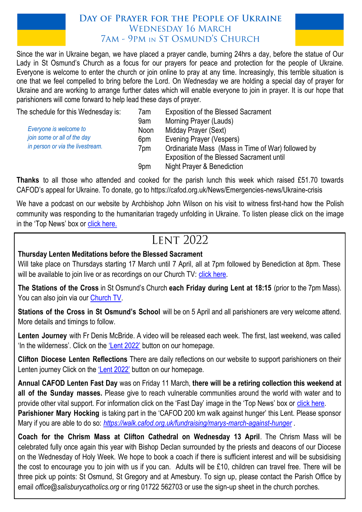#### DAY OF PRAYER FOR THE PEOPLE OF UKRAINE **WEDNESDAY 16 MARCH 7AM - 9PM IN ST OSMUND'S CHURCH**



Since the war in Ukraine began, we have placed a prayer candle, burning 24hrs a day, before the statue of Our Lady in St Osmund's Church as a focus for our prayers for peace and protection for the people of Ukraine. Everyone is welcome to enter the church or join online to pray at any time. Increasingly, this terrible situation is one that we feel compelled to bring before the Lord. On Wednesday we are holding a special day of prayer for Ukraine and are working to arrange further dates which will enable everyone to join in prayer. It is our hope that parishioners will come forward to help lead these days of prayer.

| The schedule for this Wednesday is: | 7am         | <b>Exposition of the Blessed Sacrament</b>                                                      |
|-------------------------------------|-------------|-------------------------------------------------------------------------------------------------|
|                                     | 9am         | Morning Prayer (Lauds)                                                                          |
| Everyone is welcome to              | <b>Noon</b> | Midday Prayer (Sext)                                                                            |
| join some or all of the day         | 6pm         | Evening Prayer (Vespers)                                                                        |
| in person or via the livestream.    | 7pm         | Ordinariate Mass (Mass in Time of War) followed by<br>Exposition of the Blessed Sacrament until |
|                                     | 9pm         | Night Prayer & Benediction                                                                      |

**Thanks** to all those who attended and cooked for the parish lunch this week which raised £51.70 towards CAFOD's appeal for Ukraine. To donate, go to https://cafod.org.uk/News/Emergencies-news/Ukraine-crisis

We have a podcast on our website by Archbishop John Wilson on his visit to witness first-hand how the Polish community was responding to the humanitarian tragedy unfolding in Ukraine. To listen please click on the image in the 'Top News' box or [click here.](https://salisburycatholics.org/ukraine)

## **LENT 2022**

#### **Thursday Lenten Meditations before the Blessed Sacrament**

Will take place on Thursdays starting 17 March until 7 April, all at 7pm followed by Benediction at 8pm. These will be available to join live or as recordings on our Church TV: [click here.](https://salisburycatholics.org/st-osmunds)

**The Stations of the Cross** in St Osmund's Church **each Friday during Lent at 18:15** (prior to the 7pm Mass). You can also join via our Church TV.

**Stations of the Cross in St Osmund's School** will be on 5 April and all parishioners are very welcome attend. More details and timings to follow.

**Lenten Journey** with Fr Denis McBride. A video will be released each week. The first, last weekend, was called 'In the wilderness'. Click on the ['Lent 2022'](https://salisburycatholics.org/lent-2022) button on our homepage.

**Clifton Diocese Lenten Reflections** There are daily reflections on our website to support parishioners on their Lenten journey Click on the ['Lent 2022'](https://salisburycatholics.org/lent-2022) button on our homepage.

**Annual CAFOD Lenten Fast Day** was on Friday 11 March, **there will be a retiring collection this weekend at all of the Sunday masses.** Please give to reach vulnerable communities around the world with water and to provide other vital support. For information click on the 'Fast Day' image in the 'Top News' box or [click here.](https://salisburycatholics.org/fast-2022)  **Parishioner Mary Hocking** is taking part in the 'CAFOD 200 km walk against hunger' this Lent. Please sponsor Mary if you are able to do so: *<https://walk.cafod.org.uk/fundraising/marys-march-against-hunger>* .

**Coach for the Chrism Mass at Clifton Cathedral on Wednesday 13 April**. The Chrism Mass will be celebrated fully once again this year with Bishop Declan surrounded by the priests and deacons of our Diocese on the Wednesday of Holy Week. We hope to book a coach if there is sufficient interest and will be subsidising the cost to encourage you to join with us if you can. Adults will be £10, children can travel free. There will be three pick up points: St Osmund, St Gregory and at Amesbury. To sign up, please contact the Parish Office by email *office@salisburycatholics.org* or ring 01722 562703 or use the sign-up sheet in the church porches.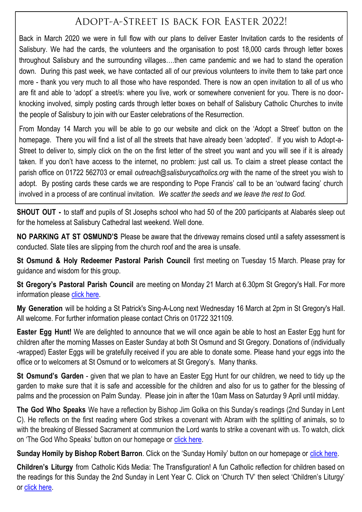## ADOPT-A-STREET IS BACK FOR EASTER 2022!

Back in March 2020 we were in full flow with our plans to deliver Easter Invitation cards to the residents of Salisbury. We had the cards, the volunteers and the organisation to post 18,000 cards through letter boxes throughout Salisbury and the surrounding villages….then came pandemic and we had to stand the operation down. During this past week, we have contacted all of our previous volunteers to invite them to take part once more - thank you very much to all those who have responded. There is now an open invitation to all of us who are fit and able to 'adopt' a street/s: where you live, work or somewhere convenient for you. There is no doorknocking involved, simply posting cards through letter boxes on behalf of Salisbury Catholic Churches to invite the people of Salisbury to join with our Easter celebrations of the Resurrection.

From Monday 14 March you will be able to go our website and click on the 'Adopt a Street' button on the homepage. There you will find a list of all the streets that have already been 'adopted'. If you wish to Adopt-a-Street to deliver to, simply click on the on the first letter of the street you want and you will see if it is already taken. If you don't have access to the internet, no problem: just call us. To claim a street please contact the parish office on 01722 562703 or email *outreach@salisburycatholics.org* with the name of the street you wish to adopt. By posting cards these cards we are responding to Pope Francis' call to be an 'outward facing' church involved in a process of are continual invitation. *We scatter the seeds and we leave the rest to God.*

**SHOUT OUT -** to staff and pupils of St Josephs school who had 50 of the 200 participants at Alabarés sleep out for the homeless at Salisbury Cathedral last weekend. Well done.

**NO PARKING AT ST OSMUND'S** Please be aware that the driveway remains closed until a safety assessment is conducted. Slate tiles are slipping from the church roof and the area is unsafe.

**St Osmund & Holy Redeemer Pastoral Parish Council** first meeting on Tuesday 15 March. Please pray for guidance and wisdom for this group.

**St Gregory's Pastoral Parish Council** are meeting on Monday 21 March at 6.30pm St Gregory's Hall. For more information please [click here.](https://salisburycatholics.org/ppc)

**My Generation** will be holding a St Patrick's Sing-A-Long next Wednesday 16 March at 2pm in St Gregory's Hall. All welcome. For further information please contact Chris on 01722 321109.

**Easter Egg Hunt!** We are delighted to announce that we will once again be able to host an Easter Egg hunt for children after the morning Masses on Easter Sunday at both St Osmund and St Gregory. Donations of (individually -wrapped) Easter Eggs will be gratefully received if you are able to donate some. Please hand your eggs into the office or to welcomers at St Osmund or to welcomers at St Gregory's. Many thanks.

**St Osmund's Garden** - given that we plan to have an Easter Egg Hunt for our children, we need to tidy up the garden to make sure that it is safe and accessible for the children and also for us to gather for the blessing of palms and the procession on Palm Sunday. Please join in after the 10am Mass on Saturday 9 April until midday.

**The God Who Speaks** We have a reflection by Bishop Jim Golka on this Sunday's readings (2nd Sunday in Lent C). He reflects on the first reading where God strikes a covenant with Abram with the splitting of animals, so to with the breaking of Blessed Sacrament at communion the Lord wants to strike a covenant with us. To watch, click on 'The God Who Speaks' button on our homepage or [click here.](https://salisburycatholics.org/god-who-speaks)

**Sunday Homily by Bishop Robert Barron**. Click on the 'Sunday Homily' button on our homepage or [click here.](https://salisburycatholics.org/sunday-homily)

**Children's Liturgy** from Catholic Kids Media: The Transfiguration! A fun Catholic reflection for children based on the readings for this Sunday the 2nd Sunday in Lent Year C. Click on 'Church TV' then select 'Children's Liturgy' or [click here.](https://salisburycatholics.org/childrens-liturgy)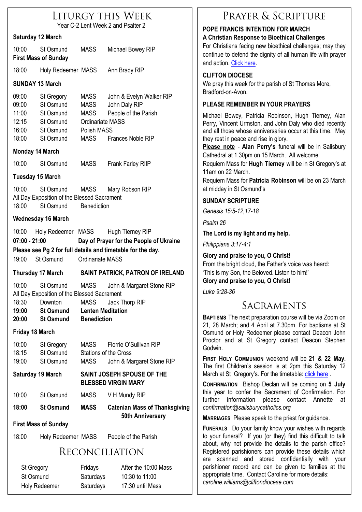| LITURGY THIS WEEK                  |  |
|------------------------------------|--|
| Year C-2 Lent Week 2 and Psalter 2 |  |

#### **Saturday 12 March**

| 10:00 | St Osmund                   | <b>MASS</b> | Michael Bowey RIP |
|-------|-----------------------------|-------------|-------------------|
|       | <b>First Mass of Sunday</b> |             |                   |

18:00 Holy Redeemer MASS Ann Brady RIP

#### **SUNDAY 13 March**

| 09:00 | St Gregory | <b>MASS</b> | John & Evelyn Walker RIP |
|-------|------------|-------------|--------------------------|
| 09:00 | St Osmund  | <b>MASS</b> | John Daly RIP            |
| 11:00 | St Osmund  | <b>MASS</b> | People of the Parish     |
| 12:15 | St Osmund  |             | Ordinariate MASS         |
| 16:00 | St Osmund  | Polish MASS |                          |
| 18:00 | St Osmund  | <b>MASS</b> | Frances Noble RIP        |

#### **Monday 14 March**

10:00 St Osmund MASS Frank Farley RIIP

#### **Tuesday 15 March**

10:00 St Osmund MASS Mary Robson RIP All Day Exposition of the Blessed Sacrament 18:00 St Osmund Benediction

#### **Wednesday 16 March**

| 10:00                                                       | Holy Redeemer MASS |                  | Hugh Tierney RIP                        |  |
|-------------------------------------------------------------|--------------------|------------------|-----------------------------------------|--|
| $07:00 - 21:00$                                             |                    |                  | Day of Prayer for the People of Ukraine |  |
| Please see Pg 2 for full details and timetable for the day. |                    |                  |                                         |  |
| 19:00                                                       | St Osmund          | Ordinariate MASS |                                         |  |

#### **Thursday 17 March SAINT PATRICK, PATRON OF IRELAND**

10:00 St Osmund MASS John & Margaret Stone RIP All Day Exposition of the Blessed Sacrament 18:30 Downton MASS Jack Thorp RIP

**19:00 St Osmund Lenten Meditation 20:00 St Osmund Benediction** 

#### **Friday 18 March**

| 10:00 | St Gregory | MASS | Florrie O'Sullivan RIP    |
|-------|------------|------|---------------------------|
| 18:15 | St Osmund  |      | Stations of the Cross     |
| 19:00 | St Osmund  | MASS | John & Margaret Stone RIP |

#### **Saturday 19 March SAINT JOSEPH SPOUSE OF THE BLESSED VIRGIN MARY**

| 10:00 | St Osmund | <b>MASS</b> | V H Mundy RIP |
|-------|-----------|-------------|---------------|
|-------|-----------|-------------|---------------|

**18:00 St Osmund MASS Catenian Mass of Thanksgiving 50th Anniversary**

#### **First Mass of Sunday**

18:00 Holy Redeemer MASS People of the Parish

## **RECONCILIATION**

| St Gregory    | Fridays   | After the 10:00 Mass |
|---------------|-----------|----------------------|
| St Osmund     | Saturdays | 10:30 to 11:00       |
| Holy Redeemer | Saturdays | 17:30 until Mass     |

#### PRAYER & SCRIPTURE **POPE FRANCIS INTENTION FOR MARCH A Christian Response to Bioethical Challenges** For Christians facing new bioethical challenges; may they continue to defend the dignity of all human life with prayer and action. [Click here.](https://salisburycatholics.org/pope-francis) **CLIFTON DIOCESE**  We pray this week for the parish of St Thomas More, Bradford-on-Avon. **PI EASE REMEMBER IN YOUR PRAYERS** Michael Bowey, Patricia Robinson, Hugh Tierney, Alan Perry, Vincent Urmston, and John Daly who died recently and all those whose anniversaries occur at this time. May they rest in peace and rise in glory. **Please note** - **Alan Perry's** funeral will be in Salisbury Cathedral at 1.30pm on 15 March. All welcome. Requiem Mass for **Hugh Tierney** will be in St Gregory's at 11am on 22 March. Requiem Mass for **Patricia Robinson** will be on 23 March at midday in St Osmund's **SUNDAY SCRIPTURE** *Genesis 15:5-12,17-18 Psalm 26* **The Lord is my light and my help.** *Philippians 3:17-4:1* **Glory and praise to you, O Christ!** From the bright cloud, the Father's voice was heard: 'This is my Son, the Beloved. Listen to him!' **Glory and praise to you, O Christ!**

*Luke 9:28-36*

## SACRAMENTS

**BAPTISMS** The next preparation course will be via Zoom on 21, 28 March; and 4 April at 7.30pm. For baptisms at St Osmund or Holy Redeemer please contact Deacon John Proctor and at St Gregory contact Deacon Stephen Godwin.

**FIRST HOLY COMMUNION** weekend will be **21 & 22 May.**  The first Children's session is at 2pm this Saturday 12 March at St Gregory's. For the timetable: [click here](https://salisburycatholics.org/holy-communion).

**CONFIRMATION** Bishop Declan will be coming on **5 July**  this year to confer the Sacrament of Confirmation. For further information please contact Annette at *confirmation@salisburycatholics.org*

**MARRIAGES** Please speak to the priest for guidance.

**FUNERALS** Do your family know your wishes with regards to your funeral? If you (or they) find this difficult to talk about, why not provide the details to the parish office? Registered parishioners can provide these details which are scanned and stored confidentially with your parishioner record and can be given to families at the appropriate time. Contact Caroline for more details: *caroline.williams@cliftondiocese.com*